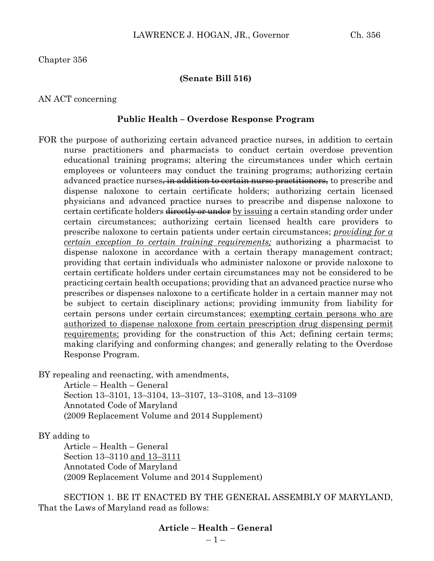Chapter 356

#### **(Senate Bill 516)**

#### AN ACT concerning

#### **Public Health – Overdose Response Program**

FOR the purpose of authorizing certain advanced practice nurses, in addition to certain nurse practitioners and pharmacists to conduct certain overdose prevention educational training programs; altering the circumstances under which certain employees or volunteers may conduct the training programs; authorizing certain advanced practice nurses<del>, in addition to certain nurse practitioners,</del> to prescribe and dispense naloxone to certain certificate holders; authorizing certain licensed physicians and advanced practice nurses to prescribe and dispense naloxone to certain certificate holders directly or under by issuing a certain standing order under certain circumstances; authorizing certain licensed health care providers to prescribe naloxone to certain patients under certain circumstances; *providing for a certain exception to certain training requirements;* authorizing a pharmacist to dispense naloxone in accordance with a certain therapy management contract; providing that certain individuals who administer naloxone or provide naloxone to certain certificate holders under certain circumstances may not be considered to be practicing certain health occupations; providing that an advanced practice nurse who prescribes or dispenses naloxone to a certificate holder in a certain manner may not be subject to certain disciplinary actions; providing immunity from liability for certain persons under certain circumstances; exempting certain persons who are authorized to dispense naloxone from certain prescription drug dispensing permit requirements; providing for the construction of this Act; defining certain terms; making clarifying and conforming changes; and generally relating to the Overdose Response Program.

BY repealing and reenacting, with amendments,

Article – Health – General Section 13–3101, 13–3104, 13–3107, 13–3108, and 13–3109 Annotated Code of Maryland (2009 Replacement Volume and 2014 Supplement)

BY adding to

Article – Health – General Section 13–3110 and 13–3111 Annotated Code of Maryland (2009 Replacement Volume and 2014 Supplement)

SECTION 1. BE IT ENACTED BY THE GENERAL ASSEMBLY OF MARYLAND, That the Laws of Maryland read as follows:

### **Article – Health – General**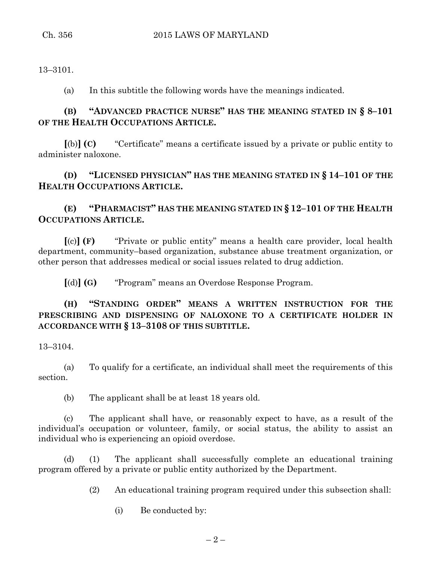13–3101.

(a) In this subtitle the following words have the meanings indicated.

# **(B) "ADVANCED PRACTICE NURSE" HAS THE MEANING STATED IN § 8–101 OF THE HEALTH OCCUPATIONS ARTICLE.**

**[**(b)**] (C)** "Certificate" means a certificate issued by a private or public entity to administer naloxone.

**(D) "LICENSED PHYSICIAN" HAS THE MEANING STATED IN § 14–101 OF THE HEALTH OCCUPATIONS ARTICLE.**

**(E) "PHARMACIST" HAS THE MEANING STATED IN § 12–101 OF THE HEALTH OCCUPATIONS ARTICLE.**

**[**(c)**] (F)** "Private or public entity" means a health care provider, local health department, community–based organization, substance abuse treatment organization, or other person that addresses medical or social issues related to drug addiction.

**[**(d)**] (G)** "Program" means an Overdose Response Program.

## **(H) "STANDING ORDER" MEANS A WRITTEN INSTRUCTION FOR THE PRESCRIBING AND DISPENSING OF NALOXONE TO A CERTIFICATE HOLDER IN ACCORDANCE WITH § 13–3108 OF THIS SUBTITLE.**

13–3104.

(a) To qualify for a certificate, an individual shall meet the requirements of this section.

(b) The applicant shall be at least 18 years old.

(c) The applicant shall have, or reasonably expect to have, as a result of the individual's occupation or volunteer, family, or social status, the ability to assist an individual who is experiencing an opioid overdose.

(d) (1) The applicant shall successfully complete an educational training program offered by a private or public entity authorized by the Department.

(2) An educational training program required under this subsection shall:

(i) Be conducted by: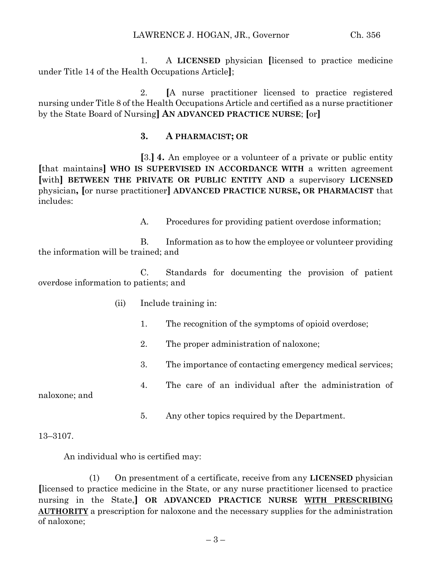1. A **LICENSED** physician **[**licensed to practice medicine under Title 14 of the Health Occupations Article**]**;

2. **[**A nurse practitioner licensed to practice registered nursing under Title 8 of the Health Occupations Article and certified as a nurse practitioner by the State Board of Nursing**] AN ADVANCED PRACTICE NURSE**; **[**or**]**

### **3. A PHARMACIST; OR**

**[**3.**] 4.** An employee or a volunteer of a private or public entity **[**that maintains**] WHO IS SUPERVISED IN ACCORDANCE WITH** a written agreement **[**with**] BETWEEN THE PRIVATE OR PUBLIC ENTITY AND** a supervisory **LICENSED**  physician**, [**or nurse practitioner**] ADVANCED PRACTICE NURSE, OR PHARMACIST** that includes:

A. Procedures for providing patient overdose information;

B. Information as to how the employee or volunteer providing the information will be trained; and

C. Standards for documenting the provision of patient overdose information to patients; and

- (ii) Include training in:
	- 1. The recognition of the symptoms of opioid overdose;
	- 2. The proper administration of naloxone;
	- 3. The importance of contacting emergency medical services;
	- 4. The care of an individual after the administration of

naloxone; and

5. Any other topics required by the Department.

### 13–3107.

An individual who is certified may:

(1) On presentment of a certificate, receive from any **LICENSED** physician **[**licensed to practice medicine in the State, or any nurse practitioner licensed to practice nursing in the State,**] OR ADVANCED PRACTICE NURSE WITH PRESCRIBING AUTHORITY** a prescription for naloxone and the necessary supplies for the administration of naloxone;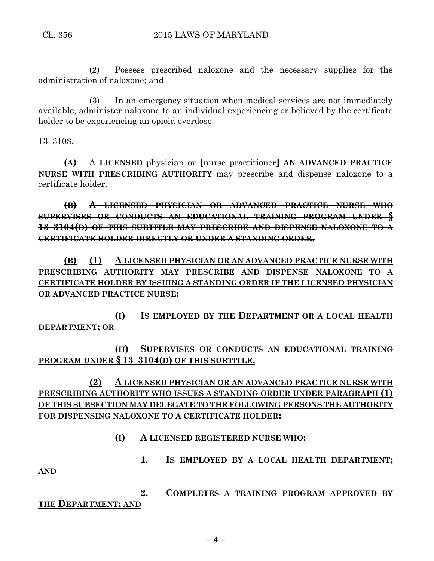(2) Possess prescribed naloxone and the necessary supplies for the administration of naloxone; and

(3) In an emergency situation when medical services are not immediately available, administer naloxone to an individual experiencing or believed by the certificate holder to be experiencing an opioid overdose.

13–3108.

**(A)** A **LICENSED** physician or **[**nurse practitioner**] AN ADVANCED PRACTICE NURSE WITH PRESCRIBING AUTHORITY** may prescribe and dispense naloxone to a certificate holder.

**(B) A LICENSED PHYSICIAN OR ADVANCED PRACTICE NURSE WHO SUPERVISES OR CONDUCTS AN EDUCATIONAL TRAINING PROGRAM UNDER § 13–3104(D) OF THIS SUBTITLE MAY PRESCRIBE AND DISPENSE NALOXONE TO A CERTIFICATE HOLDER DIRECTLY OR UNDER A STANDING ORDER.**

**(B) (1) A LICENSED PHYSICIAN OR AN ADVANCED PRACTICE NURSE WITH PRESCRIBING AUTHORITY MAY PRESCRIBE AND DISPENSE NALOXONE TO A CERTIFICATE HOLDER BY ISSUING A STANDING ORDER IF THE LICENSED PHYSICIAN OR ADVANCED PRACTICE NURSE:**

**(I) IS EMPLOYED BY THE DEPARTMENT OR A LOCAL HEALTH DEPARTMENT; OR** 

**(II) SUPERVISES OR CONDUCTS AN EDUCATIONAL TRAINING PROGRAM UNDER § 13–3104(D) OF THIS SUBTITLE.**

**(2) A LICENSED PHYSICIAN OR AN ADVANCED PRACTICE NURSE WITH PRESCRIBING AUTHORITY WHO ISSUES A STANDING ORDER UNDER PARAGRAPH (1) OF THIS SUBSECTION MAY DELEGATE TO THE FOLLOWING PERSONS THE AUTHORITY FOR DISPENSING NALOXONE TO A CERTIFICATE HOLDER:**

## **(I) A LICENSED REGISTERED NURSE WHO:**

**1. IS EMPLOYED BY A LOCAL HEALTH DEPARTMENT;**

**AND**

**2. COMPLETES A TRAINING PROGRAM APPROVED BY THE DEPARTMENT; AND**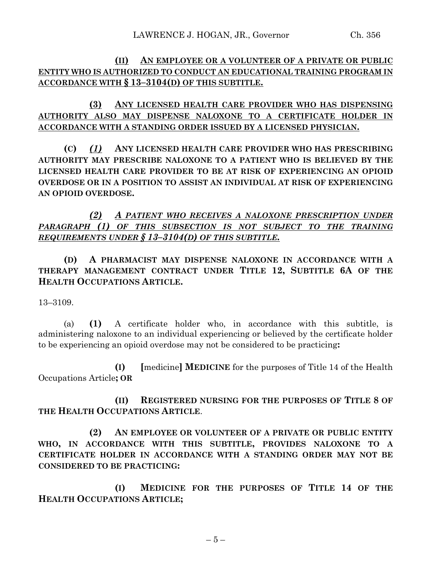# **(II) AN EMPLOYEE OR A VOLUNTEER OF A PRIVATE OR PUBLIC ENTITY WHO IS AUTHORIZED TO CONDUCT AN EDUCATIONAL TRAINING PROGRAM IN ACCORDANCE WITH § 13–3104(D) OF THIS SUBTITLE.**

**(3) ANY LICENSED HEALTH CARE PROVIDER WHO HAS DISPENSING AUTHORITY ALSO MAY DISPENSE NALOXONE TO A CERTIFICATE HOLDER IN ACCORDANCE WITH A STANDING ORDER ISSUED BY A LICENSED PHYSICIAN.**

**(C)** *(1)* **ANY LICENSED HEALTH CARE PROVIDER WHO HAS PRESCRIBING AUTHORITY MAY PRESCRIBE NALOXONE TO A PATIENT WHO IS BELIEVED BY THE LICENSED HEALTH CARE PROVIDER TO BE AT RISK OF EXPERIENCING AN OPIOID OVERDOSE OR IN A POSITION TO ASSIST AN INDIVIDUAL AT RISK OF EXPERIENCING AN OPIOID OVERDOSE.**

*(2) A PATIENT WHO RECEIVES A NALOXONE PRESCRIPTION UNDER PARAGRAPH (1) OF THIS SUBSECTION IS NOT SUBJECT TO THE TRAINING REQUIREMENTS UNDER § 13–3104(D) OF THIS SUBTITLE.*

**(D) A PHARMACIST MAY DISPENSE NALOXONE IN ACCORDANCE WITH A THERAPY MANAGEMENT CONTRACT UNDER TITLE 12, SUBTITLE 6A OF THE HEALTH OCCUPATIONS ARTICLE.**

13–3109.

(a) **(1)** A certificate holder who, in accordance with this subtitle, is administering naloxone to an individual experiencing or believed by the certificate holder to be experiencing an opioid overdose may not be considered to be practicing**:**

**(I) [**medicine**] MEDICINE** for the purposes of Title 14 of the Health Occupations Article**; OR**

**(II) REGISTERED NURSING FOR THE PURPOSES OF TITLE 8 OF THE HEALTH OCCUPATIONS ARTICLE**.

**(2) AN EMPLOYEE OR VOLUNTEER OF A PRIVATE OR PUBLIC ENTITY WHO, IN ACCORDANCE WITH THIS SUBTITLE, PROVIDES NALOXONE TO A CERTIFICATE HOLDER IN ACCORDANCE WITH A STANDING ORDER MAY NOT BE CONSIDERED TO BE PRACTICING:**

**(I) MEDICINE FOR THE PURPOSES OF TITLE 14 OF THE HEALTH OCCUPATIONS ARTICLE;**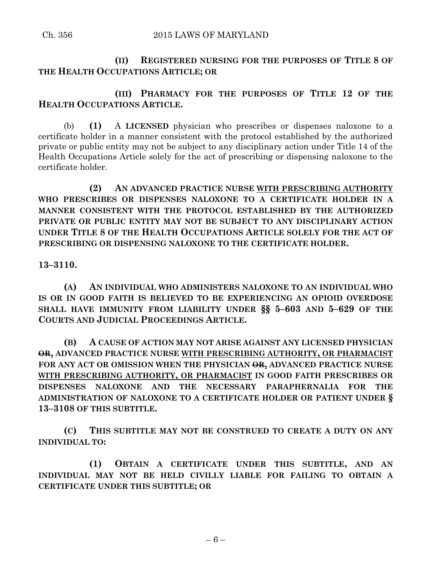**(II) REGISTERED NURSING FOR THE PURPOSES OF TITLE 8 OF THE HEALTH OCCUPATIONS ARTICLE; OR**

**(III) PHARMACY FOR THE PURPOSES OF TITLE 12 OF THE HEALTH OCCUPATIONS ARTICLE.**

(b) **(1)** A **LICENSED** physician who prescribes or dispenses naloxone to a certificate holder in a manner consistent with the protocol established by the authorized private or public entity may not be subject to any disciplinary action under Title 14 of the Health Occupations Article solely for the act of prescribing or dispensing naloxone to the certificate holder.

**(2) AN ADVANCED PRACTICE NURSE WITH PRESCRIBING AUTHORITY WHO PRESCRIBES OR DISPENSES NALOXONE TO A CERTIFICATE HOLDER IN A MANNER CONSISTENT WITH THE PROTOCOL ESTABLISHED BY THE AUTHORIZED PRIVATE OR PUBLIC ENTITY MAY NOT BE SUBJECT TO ANY DISCIPLINARY ACTION UNDER TITLE 8 OF THE HEALTH OCCUPATIONS ARTICLE SOLELY FOR THE ACT OF PRESCRIBING OR DISPENSING NALOXONE TO THE CERTIFICATE HOLDER.**

**13–3110.**

**(A) AN INDIVIDUAL WHO ADMINISTERS NALOXONE TO AN INDIVIDUAL WHO IS OR IN GOOD FAITH IS BELIEVED TO BE EXPERIENCING AN OPIOID OVERDOSE SHALL HAVE IMMUNITY FROM LIABILITY UNDER §§ 5–603 AND 5–629 OF THE COURTS AND JUDICIAL PROCEEDINGS ARTICLE.**

**(B) A CAUSE OF ACTION MAY NOT ARISE AGAINST ANY LICENSED PHYSICIAN OR, ADVANCED PRACTICE NURSE WITH PRESCRIBING AUTHORITY, OR PHARMACIST FOR ANY ACT OR OMISSION WHEN THE PHYSICIAN OR, ADVANCED PRACTICE NURSE WITH PRESCRIBING AUTHORITY, OR PHARMACIST IN GOOD FAITH PRESCRIBES OR DISPENSES NALOXONE AND THE NECESSARY PARAPHERNALIA FOR THE ADMINISTRATION OF NALOXONE TO A CERTIFICATE HOLDER OR PATIENT UNDER § 13–3108 OF THIS SUBTITLE.**

**(C) THIS SUBTITLE MAY NOT BE CONSTRUED TO CREATE A DUTY ON ANY INDIVIDUAL TO:**

**(1) OBTAIN A CERTIFICATE UNDER THIS SUBTITLE, AND AN INDIVIDUAL MAY NOT BE HELD CIVILLY LIABLE FOR FAILING TO OBTAIN A CERTIFICATE UNDER THIS SUBTITLE; OR**